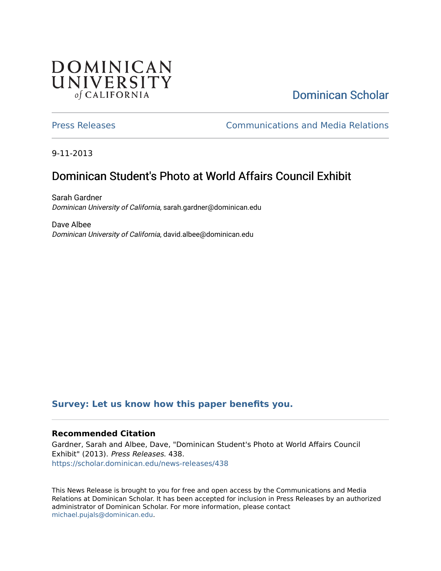# **DOMINICAN** UNIVERSITY of CALIFORNIA

# [Dominican Scholar](https://scholar.dominican.edu/)

[Press Releases](https://scholar.dominican.edu/news-releases) [Communications and Media Relations](https://scholar.dominican.edu/communications-media) 

9-11-2013

# Dominican Student's Photo at World Affairs Council Exhibit

Sarah Gardner Dominican University of California, sarah.gardner@dominican.edu

Dave Albee Dominican University of California, david.albee@dominican.edu

#### **[Survey: Let us know how this paper benefits you.](https://dominican.libwizard.com/dominican-scholar-feedback)**

#### **Recommended Citation**

Gardner, Sarah and Albee, Dave, "Dominican Student's Photo at World Affairs Council Exhibit" (2013). Press Releases. 438. [https://scholar.dominican.edu/news-releases/438](https://scholar.dominican.edu/news-releases/438?utm_source=scholar.dominican.edu%2Fnews-releases%2F438&utm_medium=PDF&utm_campaign=PDFCoverPages)

This News Release is brought to you for free and open access by the Communications and Media Relations at Dominican Scholar. It has been accepted for inclusion in Press Releases by an authorized administrator of Dominican Scholar. For more information, please contact [michael.pujals@dominican.edu.](mailto:michael.pujals@dominican.edu)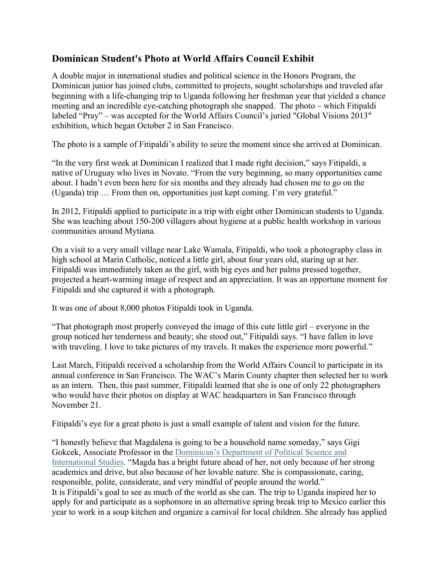### **Dominican Student's Photo at World Affairs Council Exhibit**

A double major in international studies and political science in the Honors Program, the Dominican junior has joined clubs, committed to projects, sought scholarships and traveled afar beginning with a life-changing trip to Uganda following her freshman year that yielded a chance meeting and an incredible eye-catching photograph she snapped. The photo – which Fitipaldi labeled "Pray" – was accepted for the World Affairs Council's juried "Global Visions 2013" exhibition, which began October 2 in San Francisco.

The photo is a sample of Fitipaldi's ability to seize the moment since she arrived at Dominican.

"In the very first week at Dominican I realized that I made right decision," says Fitipaldi, a native of Uruguay who lives in Novato. "From the very beginning, so many opportunities came about. I hadn't even been here for six months and they already had chosen me to go on the (Uganda) trip … From then on, opportunities just kept coming. I'm very grateful."

In 2012, Fitipaldi applied to participate in a trip with eight other Dominican students to Uganda. She was teaching about 150-200 villagers about hygiene at a public health workshop in various communities around Mytiana.

On a visit to a very small village near Lake Wamala, Fitipaldi, who took a photography class in high school at Marin Catholic, noticed a little girl, about four years old, staring up at her. Fitipaldi was immediately taken as the girl, with big eyes and her palms pressed together, projected a heart-warming image of respect and an appreciation. It was an opportune moment for Fitipaldi and she captured it with a photograph.

It was one of about 8,000 photos Fitipaldi took in Uganda.

"That photograph most properly conveyed the image of this cute little girl – everyone in the group noticed her tenderness and beauty; she stood out," Fitipaldi says. "I have fallen in love with traveling. I love to take pictures of my travels. It makes the experience more powerful."

Last March, Fitipaldi received a scholarship from the World Affairs Council to participate in its annual conference in San Francisco. The WAC's Marin County chapter then selected her to work as an intern. Then, this past summer, Fitipaldi learned that she is one of only 22 photographers who would have their photos on display at WAC headquarters in San Francisco through November 21.

Fitipaldi's eye for a great photo is just a small example of talent and vision for the future.

"I honestly believe that Magdalena is going to be a household name someday," says Gigi Gokcek, Associate Professor in the Dominican's Department of Political Science and International Studies. "Magda has a bright future ahead of her, not only because of her strong academics and drive, but also because of her lovable nature. She is compassionate, caring, responsible, polite, considerate, and very mindful of people around the world." It is Fitipaldi's goal to see as much of the world as she can. The trip to Uganda inspired her to apply for and participate as a sophomore in an alternative spring break trip to Mexico earlier this year to work in a soup kitchen and organize a carnival for local children. She already has applied